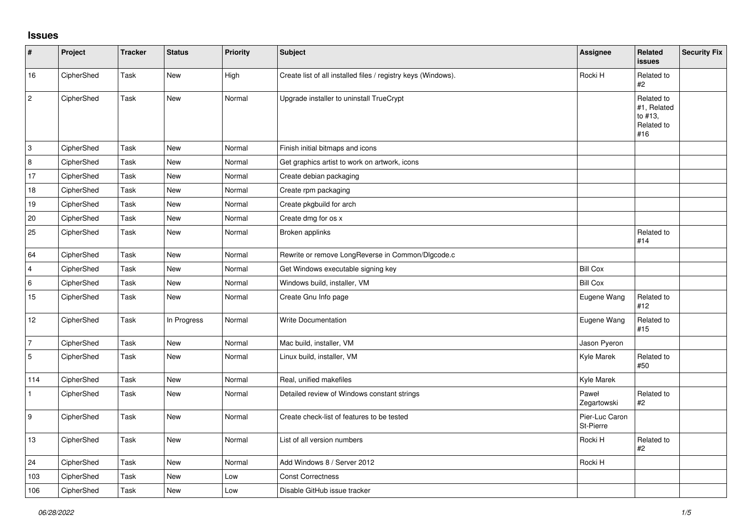## **Issues**

| #              | Project    | <b>Tracker</b> | <b>Status</b> | <b>Priority</b> | <b>Subject</b>                                                | Assignee                    | Related<br><b>issues</b>                                  | <b>Security Fix</b> |
|----------------|------------|----------------|---------------|-----------------|---------------------------------------------------------------|-----------------------------|-----------------------------------------------------------|---------------------|
| 16             | CipherShed | Task           | New           | High            | Create list of all installed files / registry keys (Windows). | Rocki H                     | Related to<br>#2                                          |                     |
| $\overline{c}$ | CipherShed | Task           | New           | Normal          | Upgrade installer to uninstall TrueCrypt                      |                             | Related to<br>#1, Related<br>to #13,<br>Related to<br>#16 |                     |
| 3              | CipherShed | Task           | <b>New</b>    | Normal          | Finish initial bitmaps and icons                              |                             |                                                           |                     |
| 8              | CipherShed | Task           | <b>New</b>    | Normal          | Get graphics artist to work on artwork, icons                 |                             |                                                           |                     |
| 17             | CipherShed | Task           | New           | Normal          | Create debian packaging                                       |                             |                                                           |                     |
| 18             | CipherShed | Task           | <b>New</b>    | Normal          | Create rpm packaging                                          |                             |                                                           |                     |
| 19             | CipherShed | Task           | <b>New</b>    | Normal          | Create pkgbuild for arch                                      |                             |                                                           |                     |
| 20             | CipherShed | Task           | <b>New</b>    | Normal          | Create dmg for os x                                           |                             |                                                           |                     |
| 25             | CipherShed | Task           | <b>New</b>    | Normal          | Broken applinks                                               |                             | Related to<br>#14                                         |                     |
| 64             | CipherShed | Task           | <b>New</b>    | Normal          | Rewrite or remove LongReverse in Common/Dlgcode.c             |                             |                                                           |                     |
| $\overline{4}$ | CipherShed | Task           | <b>New</b>    | Normal          | Get Windows executable signing key                            | <b>Bill Cox</b>             |                                                           |                     |
| 6              | CipherShed | Task           | <b>New</b>    | Normal          | Windows build, installer, VM                                  | <b>Bill Cox</b>             |                                                           |                     |
| 15             | CipherShed | Task           | New           | Normal          | Create Gnu Info page                                          | Eugene Wang                 | Related to<br>#12                                         |                     |
| 12             | CipherShed | Task           | In Progress   | Normal          | <b>Write Documentation</b>                                    | Eugene Wang                 | Related to<br>#15                                         |                     |
| 7              | CipherShed | Task           | <b>New</b>    | Normal          | Mac build, installer, VM                                      | Jason Pyeron                |                                                           |                     |
| 5              | CipherShed | Task           | <b>New</b>    | Normal          | Linux build, installer, VM                                    | Kyle Marek                  | Related to<br>#50                                         |                     |
| 114            | CipherShed | Task           | <b>New</b>    | Normal          | Real, unified makefiles                                       | Kyle Marek                  |                                                           |                     |
| $\mathbf{1}$   | CipherShed | Task           | New           | Normal          | Detailed review of Windows constant strings                   | Paweł<br>Zegartowski        | Related to<br>$\#2$                                       |                     |
| 9              | CipherShed | Task           | New           | Normal          | Create check-list of features to be tested                    | Pier-Luc Caron<br>St-Pierre |                                                           |                     |
| 13             | CipherShed | Task           | <b>New</b>    | Normal          | List of all version numbers                                   | Rocki H                     | Related to<br>#2                                          |                     |
| 24             | CipherShed | Task           | <b>New</b>    | Normal          | Add Windows 8 / Server 2012                                   | Rocki H                     |                                                           |                     |
| 103            | CipherShed | Task           | New           | Low             | <b>Const Correctness</b>                                      |                             |                                                           |                     |
| 106            | CipherShed | Task           | <b>New</b>    | Low             | Disable GitHub issue tracker                                  |                             |                                                           |                     |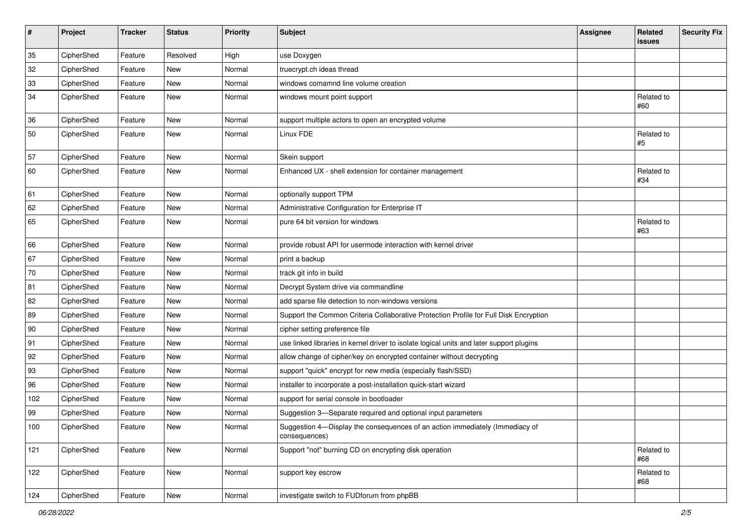| $\sharp$ | Project    | <b>Tracker</b> | <b>Status</b> | Priority | Subject                                                                                       | <b>Assignee</b> | Related<br>issues | <b>Security Fix</b> |
|----------|------------|----------------|---------------|----------|-----------------------------------------------------------------------------------------------|-----------------|-------------------|---------------------|
| 35       | CipherShed | Feature        | Resolved      | High     | use Doxygen                                                                                   |                 |                   |                     |
| 32       | CipherShed | Feature        | New           | Normal   | truecrypt.ch ideas thread                                                                     |                 |                   |                     |
| 33       | CipherShed | Feature        | New           | Normal   | windows comamnd line volume creation                                                          |                 |                   |                     |
| 34       | CipherShed | Feature        | New           | Normal   | windows mount point support                                                                   |                 | Related to<br>#60 |                     |
| 36       | CipherShed | Feature        | New           | Normal   | support multiple actors to open an encrypted volume                                           |                 |                   |                     |
| 50       | CipherShed | Feature        | New           | Normal   | Linux FDE                                                                                     |                 | Related to<br>#5  |                     |
| 57       | CipherShed | Feature        | <b>New</b>    | Normal   | Skein support                                                                                 |                 |                   |                     |
| 60       | CipherShed | Feature        | New           | Normal   | Enhanced UX - shell extension for container management                                        |                 | Related to<br>#34 |                     |
| 61       | CipherShed | Feature        | <b>New</b>    | Normal   | optionally support TPM                                                                        |                 |                   |                     |
| 62       | CipherShed | Feature        | New           | Normal   | Administrative Configuration for Enterprise IT                                                |                 |                   |                     |
| 65       | CipherShed | Feature        | New           | Normal   | pure 64 bit version for windows                                                               |                 | Related to<br>#63 |                     |
| 66       | CipherShed | Feature        | New           | Normal   | provide robust API for usermode interaction with kernel driver                                |                 |                   |                     |
| 67       | CipherShed | Feature        | New           | Normal   | print a backup                                                                                |                 |                   |                     |
| 70       | CipherShed | Feature        | New           | Normal   | track git info in build                                                                       |                 |                   |                     |
| 81       | CipherShed | Feature        | New           | Normal   | Decrypt System drive via commandline                                                          |                 |                   |                     |
| 82       | CipherShed | Feature        | New           | Normal   | add sparse file detection to non-windows versions                                             |                 |                   |                     |
| 89       | CipherShed | Feature        | New           | Normal   | Support the Common Criteria Collaborative Protection Profile for Full Disk Encryption         |                 |                   |                     |
| 90       | CipherShed | Feature        | New           | Normal   | cipher setting preference file                                                                |                 |                   |                     |
| 91       | CipherShed | Feature        | New           | Normal   | use linked libraries in kernel driver to isolate logical units and later support plugins      |                 |                   |                     |
| 92       | CipherShed | Feature        | New           | Normal   | allow change of cipher/key on encrypted container without decrypting                          |                 |                   |                     |
| 93       | CipherShed | Feature        | New           | Normal   | support "quick" encrypt for new media (especially flash/SSD)                                  |                 |                   |                     |
| 96       | CipherShed | Feature        | New           | Normal   | installer to incorporate a post-installation quick-start wizard                               |                 |                   |                     |
| 102      | CipherShed | Feature        | New           | Normal   | support for serial console in bootloader                                                      |                 |                   |                     |
| 99       | CipherShed | Feature        | New           | Normal   | Suggestion 3-Separate required and optional input parameters                                  |                 |                   |                     |
| 100      | CipherShed | Feature        | New           | Normal   | Suggestion 4-Display the consequences of an action immediately (Immediacy of<br>consequences) |                 |                   |                     |
| 121      | CipherShed | Feature        | New           | Normal   | Support "not" burning CD on encrypting disk operation                                         |                 | Related to<br>#68 |                     |
| 122      | CipherShed | Feature        | New           | Normal   | support key escrow                                                                            |                 | Related to<br>#68 |                     |
| 124      | CipherShed | Feature        | New           | Normal   | investigate switch to FUDforum from phpBB                                                     |                 |                   |                     |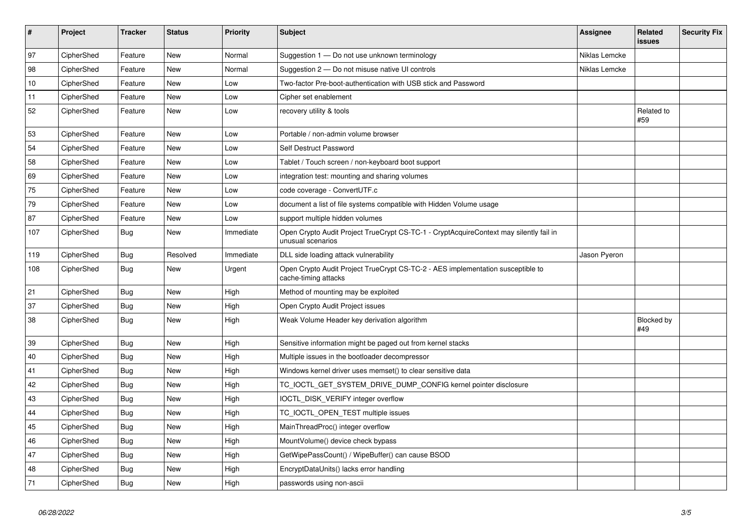| $\vert$ # | Project    | <b>Tracker</b> | <b>Status</b> | <b>Priority</b> | <b>Subject</b>                                                                                              | Assignee      | Related<br><b>issues</b> | <b>Security Fix</b> |
|-----------|------------|----------------|---------------|-----------------|-------------------------------------------------------------------------------------------------------------|---------------|--------------------------|---------------------|
| 97        | CipherShed | Feature        | <b>New</b>    | Normal          | Suggestion 1 - Do not use unknown terminology                                                               | Niklas Lemcke |                          |                     |
| 98        | CipherShed | Feature        | <b>New</b>    | Normal          | Suggestion 2 – Do not misuse native UI controls                                                             | Niklas Lemcke |                          |                     |
| 10        | CipherShed | Feature        | <b>New</b>    | Low             | Two-factor Pre-boot-authentication with USB stick and Password                                              |               |                          |                     |
| 11        | CipherShed | Feature        | <b>New</b>    | Low             | Cipher set enablement                                                                                       |               |                          |                     |
| 52        | CipherShed | Feature        | New           | Low             | recovery utility & tools                                                                                    |               | Related to<br>#59        |                     |
| 53        | CipherShed | Feature        | <b>New</b>    | Low             | Portable / non-admin volume browser                                                                         |               |                          |                     |
| 54        | CipherShed | Feature        | <b>New</b>    | Low             | Self Destruct Password                                                                                      |               |                          |                     |
| 58        | CipherShed | Feature        | <b>New</b>    | Low             | Tablet / Touch screen / non-keyboard boot support                                                           |               |                          |                     |
| 69        | CipherShed | Feature        | <b>New</b>    | Low             | integration test: mounting and sharing volumes                                                              |               |                          |                     |
| 75        | CipherShed | Feature        | New           | Low             | code coverage - ConvertUTF.c                                                                                |               |                          |                     |
| 79        | CipherShed | Feature        | <b>New</b>    | Low             | document a list of file systems compatible with Hidden Volume usage                                         |               |                          |                     |
| 87        | CipherShed | Feature        | <b>New</b>    | Low             | support multiple hidden volumes                                                                             |               |                          |                     |
| 107       | CipherShed | <b>Bug</b>     | New           | Immediate       | Open Crypto Audit Project TrueCrypt CS-TC-1 - CryptAcquireContext may silently fail in<br>unusual scenarios |               |                          |                     |
| 119       | CipherShed | Bug            | Resolved      | Immediate       | DLL side loading attack vulnerability                                                                       | Jason Pyeron  |                          |                     |
| 108       | CipherShed | Bug            | New           | Urgent          | Open Crypto Audit Project TrueCrypt CS-TC-2 - AES implementation susceptible to<br>cache-timing attacks     |               |                          |                     |
| 21        | CipherShed | <b>Bug</b>     | <b>New</b>    | High            | Method of mounting may be exploited                                                                         |               |                          |                     |
| 37        | CipherShed | <b>Bug</b>     | <b>New</b>    | High            | Open Crypto Audit Project issues                                                                            |               |                          |                     |
| 38        | CipherShed | Bug            | <b>New</b>    | High            | Weak Volume Header key derivation algorithm                                                                 |               | <b>Blocked by</b><br>#49 |                     |
| 39        | CipherShed | Bug            | <b>New</b>    | High            | Sensitive information might be paged out from kernel stacks                                                 |               |                          |                     |
| 40        | CipherShed | <b>Bug</b>     | New           | High            | Multiple issues in the bootloader decompressor                                                              |               |                          |                     |
| 41        | CipherShed | <b>Bug</b>     | <b>New</b>    | High            | Windows kernel driver uses memset() to clear sensitive data                                                 |               |                          |                     |
| 42        | CipherShed | Bug            | <b>New</b>    | High            | TC_IOCTL_GET_SYSTEM_DRIVE_DUMP_CONFIG kernel pointer disclosure                                             |               |                          |                     |
| 43        | CipherShed | <b>Bug</b>     | <b>New</b>    | High            | IOCTL DISK VERIFY integer overflow                                                                          |               |                          |                     |
| 44        | CipherShed | Bug            | New           | High            | TC IOCTL OPEN TEST multiple issues                                                                          |               |                          |                     |
| 45        | CipherShed | <b>Bug</b>     | New           | High            | MainThreadProc() integer overflow                                                                           |               |                          |                     |
| 46        | CipherShed | <b>Bug</b>     | <b>New</b>    | High            | MountVolume() device check bypass                                                                           |               |                          |                     |
| 47        | CipherShed | <b>Bug</b>     | <b>New</b>    | High            | GetWipePassCount() / WipeBuffer() can cause BSOD                                                            |               |                          |                     |
| 48        | CipherShed | Bug            | <b>New</b>    | High            | EncryptDataUnits() lacks error handling                                                                     |               |                          |                     |
| 71        | CipherShed | <b>Bug</b>     | <b>New</b>    | High            | passwords using non-ascii                                                                                   |               |                          |                     |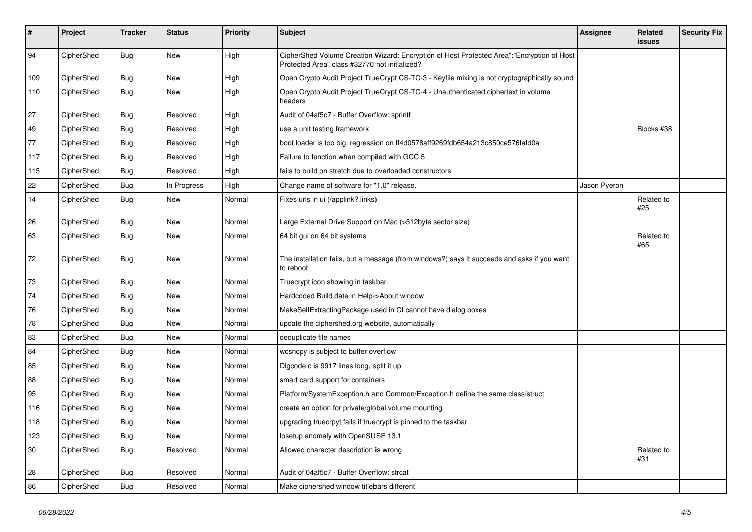| #   | Project    | <b>Tracker</b> | <b>Status</b> | Priority | <b>Subject</b>                                                                                                                             | <b>Assignee</b> | <b>Related</b><br>issues | <b>Security Fix</b> |
|-----|------------|----------------|---------------|----------|--------------------------------------------------------------------------------------------------------------------------------------------|-----------------|--------------------------|---------------------|
| 94  | CipherShed | Bug            | <b>New</b>    | High     | CipherShed Volume Creation Wizard: Encryption of Host Protected Area":"Encryption of Host<br>Protected Area" class #32770 not initialized? |                 |                          |                     |
| 109 | CipherShed | <b>Bug</b>     | New           | High     | Open Crypto Audit Project TrueCrypt CS-TC-3 - Keyfile mixing is not cryptographically sound                                                |                 |                          |                     |
| 110 | CipherShed | Bug            | <b>New</b>    | High     | Open Crypto Audit Project TrueCrypt CS-TC-4 - Unauthenticated ciphertext in volume<br>headers                                              |                 |                          |                     |
| 27  | CipherShed | <b>Bug</b>     | Resolved      | High     | Audit of 04af5c7 - Buffer Overflow: sprintf                                                                                                |                 |                          |                     |
| 49  | CipherShed | <b>Bug</b>     | Resolved      | High     | use a unit testing framework                                                                                                               |                 | Blocks #38               |                     |
| 77  | CipherShed | Bug            | Resolved      | High     | boot loader is too big, regression on ff4d0578aff9269fdb654a213c850ce576fafd0a                                                             |                 |                          |                     |
| 117 | CipherShed | <b>Bug</b>     | Resolved      | High     | Failure to function when compiled with GCC 5                                                                                               |                 |                          |                     |
| 115 | CipherShed | <b>Bug</b>     | Resolved      | High     | fails to build on stretch due to overloaded constructors                                                                                   |                 |                          |                     |
| 22  | CipherShed | Bug            | In Progress   | High     | Change name of software for "1.0" release.                                                                                                 | Jason Pyeron    |                          |                     |
| 14  | CipherShed | Bug            | New           | Normal   | Fixes urls in ui (/applink? links)                                                                                                         |                 | Related to<br>#25        |                     |
| 26  | CipherShed | <b>Bug</b>     | <b>New</b>    | Normal   | Large External Drive Support on Mac (>512byte sector size)                                                                                 |                 |                          |                     |
| 63  | CipherShed | <b>Bug</b>     | New           | Normal   | 64 bit gui on 64 bit systems                                                                                                               |                 | Related to<br>#65        |                     |
| 72  | CipherShed | <b>Bug</b>     | New           | Normal   | The installation fails, but a message (from windows?) says it succeeds and asks if you want<br>to reboot                                   |                 |                          |                     |
| 73  | CipherShed | <b>Bug</b>     | New           | Normal   | Truecrypt icon showing in taskbar                                                                                                          |                 |                          |                     |
| 74  | CipherShed | <b>Bug</b>     | <b>New</b>    | Normal   | Hardcoded Build date in Help->About window                                                                                                 |                 |                          |                     |
| 76  | CipherShed | <b>Bug</b>     | <b>New</b>    | Normal   | MakeSelfExtractingPackage used in CI cannot have dialog boxes                                                                              |                 |                          |                     |
| 78  | CipherShed | <b>Bug</b>     | <b>New</b>    | Normal   | update the ciphershed org website, automatically                                                                                           |                 |                          |                     |
| 83  | CipherShed | <b>Bug</b>     | New           | Normal   | deduplicate file names                                                                                                                     |                 |                          |                     |
| 84  | CipherShed | Bug            | New           | Normal   | wcsncpy is subject to buffer overflow                                                                                                      |                 |                          |                     |
| 85  | CipherShed | <b>Bug</b>     | <b>New</b>    | Normal   | Digcode.c is 9917 lines long, split it up                                                                                                  |                 |                          |                     |
| 88  | CipherShed | <b>Bug</b>     | New           | Normal   | smart card support for containers                                                                                                          |                 |                          |                     |
| 95  | CipherShed | <b>Bug</b>     | New           | Normal   | Platform/SystemException.h and Common/Exception.h define the same class/struct                                                             |                 |                          |                     |
| 116 | CipherShed | Bug            | New           | Normal   | create an option for private/global volume mounting                                                                                        |                 |                          |                     |
| 118 | CipherShed | <b>Bug</b>     | New           | Normal   | upgrading truecrpyt fails if truecrypt is pinned to the taskbar                                                                            |                 |                          |                     |
| 123 | CipherShed | Bug            | New           | Normal   | losetup anomaly with OpenSUSE 13.1                                                                                                         |                 |                          |                     |
| 30  | CipherShed | <b>Bug</b>     | Resolved      | Normal   | Allowed character description is wrong                                                                                                     |                 | Related to<br>#31        |                     |
| 28  | CipherShed | Bug            | Resolved      | Normal   | Audit of 04af5c7 - Buffer Overflow: strcat                                                                                                 |                 |                          |                     |
| 86  | CipherShed | <b>Bug</b>     | Resolved      | Normal   | Make ciphershed window titlebars different                                                                                                 |                 |                          |                     |